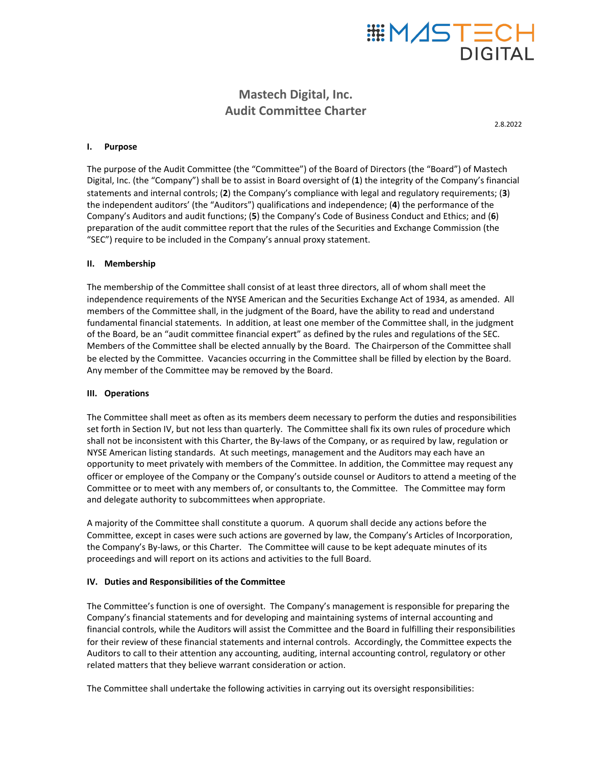# **DIGITAL**

# **Mastech Digital, Inc. Audit Committee Charter**

2.8.2022

#### **I. Purpose**

The purpose of the Audit Committee (the "Committee") of the Board of Directors (the "Board") of Mastech Digital, Inc. (the "Company") shall be to assist in Board oversight of (1) the integrity of the Company's financial statements and internal controls; (2) the Company's compliance with legal and regulatory requirements; (3) the independent auditors' (the "Auditors") qualifications and independence; (4) the performance of the Company's Auditors and audit functions; (5) the Company's Code of Business Conduct and Ethics; and (6) preparation of the audit committee report that the rules of the Securities and Exchange Commission (the "SEC") require to be included in the Company's annual proxy statement.

#### **II. Membership**

The membership of the Committee shall consist of at least three directors, all of whom shall meet the independence requirements of the NYSE American and the Securities Exchange Act of 1934, as amended. All members of the Committee shall, in the judgment of the Board, have the ability to read and understand fundamental financial statements. In addition, at least one member of the Committee shall, in the judgment of the Board, be an "audit committee financial expert" as defined by the rules and regulations of the SEC. Members of the Committee shall be elected annually by the Board. The Chairperson of the Committee shall be elected by the Committee. Vacancies occurring in the Committee shall be filled by election by the Board. Any member of the Committee may be removed by the Board.

# **III. Operations**

The Committee shall meet as often as its members deem necessary to perform the duties and responsibilities set forth in Section IV, but not less than quarterly. The Committee shall fix its own rules of procedure which shall not be inconsistent with this Charter, the By-laws of the Company, or as required by law, regulation or NYSE American listing standards. At such meetings, management and the Auditors may each have an opportunity to meet privately with members of the Committee. In addition, the Committee may request any officer or employee of the Company or the Company's outside counsel or Auditors to attend a meeting of the Committee or to meet with any members of, or consultants to, the Committee. The Committee may form and delegate authority to subcommittees when appropriate.

A majority of the Committee shall constitute a quorum. A quorum shall decide any actions before the Committee, except in cases were such actions are governed by law, the Company's Articles of Incorporation, the Company's By-laws, or this Charter. The Committee will cause to be kept adequate minutes of its proceedings and will report on its actions and activities to the full Board.

# **IV.** Duties and Responsibilities of the Committee

The Committee's function is one of oversight. The Company's management is responsible for preparing the Company's financial statements and for developing and maintaining systems of internal accounting and financial controls, while the Auditors will assist the Committee and the Board in fulfilling their responsibilities for their review of these financial statements and internal controls. Accordingly, the Committee expects the Auditors to call to their attention any accounting, auditing, internal accounting control, regulatory or other related matters that they believe warrant consideration or action.

The Committee shall undertake the following activities in carrying out its oversight responsibilities: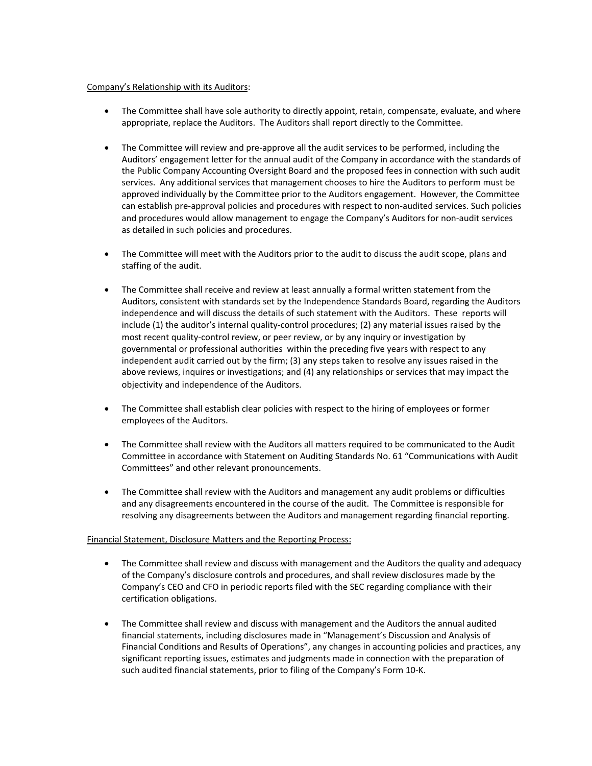#### Company's Relationship with its Auditors:

- The Committee shall have sole authority to directly appoint, retain, compensate, evaluate, and where appropriate, replace the Auditors. The Auditors shall report directly to the Committee.
- The Committee will review and pre-approve all the audit services to be performed, including the Auditors' engagement letter for the annual audit of the Company in accordance with the standards of the Public Company Accounting Oversight Board and the proposed fees in connection with such audit services. Any additional services that management chooses to hire the Auditors to perform must be approved individually by the Committee prior to the Auditors engagement. However, the Committee can establish pre-approval policies and procedures with respect to non-audited services. Such policies and procedures would allow management to engage the Company's Auditors for non-audit services as detailed in such policies and procedures.
- The Committee will meet with the Auditors prior to the audit to discuss the audit scope, plans and staffing of the audit.
- The Committee shall receive and review at least annually a formal written statement from the Auditors, consistent with standards set by the Independence Standards Board, regarding the Auditors independence and will discuss the details of such statement with the Auditors. These reports will include (1) the auditor's internal quality-control procedures; (2) any material issues raised by the most recent quality-control review, or peer review, or by any inquiry or investigation by governmental or professional authorities within the preceding five years with respect to any independent audit carried out by the firm; (3) any steps taken to resolve any issues raised in the above reviews, inquires or investigations; and (4) any relationships or services that may impact the objectivity and independence of the Auditors.
- The Committee shall establish clear policies with respect to the hiring of employees or former employees of the Auditors.
- The Committee shall review with the Auditors all matters required to be communicated to the Audit Committee in accordance with Statement on Auditing Standards No. 61 "Communications with Audit Committees" and other relevant pronouncements.
- The Committee shall review with the Auditors and management any audit problems or difficulties and any disagreements encountered in the course of the audit. The Committee is responsible for resolving any disagreements between the Auditors and management regarding financial reporting.

# Financial Statement, Disclosure Matters and the Reporting Process:

- The Committee shall review and discuss with management and the Auditors the quality and adequacy of the Company's disclosure controls and procedures, and shall review disclosures made by the Company's CEO and CFO in periodic reports filed with the SEC regarding compliance with their certification obligations.
- The Committee shall review and discuss with management and the Auditors the annual audited financial statements, including disclosures made in "Management's Discussion and Analysis of Financial Conditions and Results of Operations", any changes in accounting policies and practices, any significant reporting issues, estimates and judgments made in connection with the preparation of such audited financial statements, prior to filing of the Company's Form 10-K.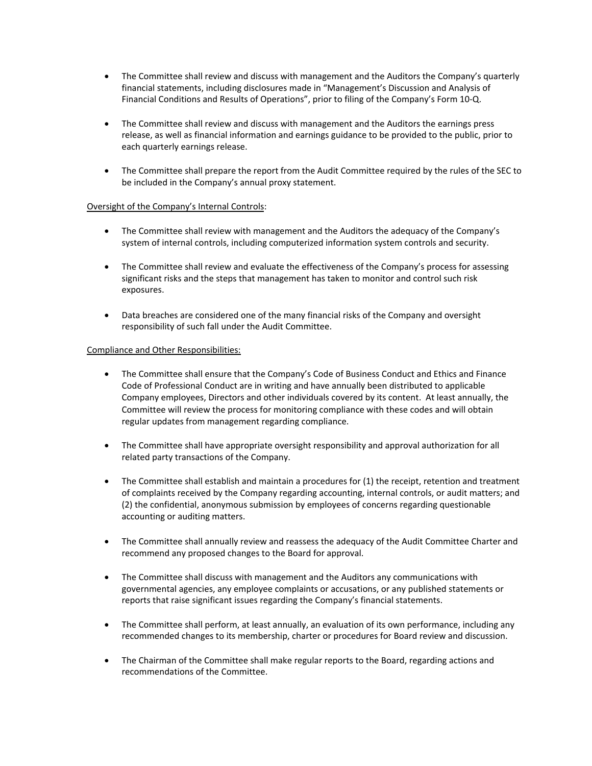- The Committee shall review and discuss with management and the Auditors the Company's quarterly financial statements, including disclosures made in "Management's Discussion and Analysis of Financial Conditions and Results of Operations", prior to filing of the Company's Form 10-Q.
- The Committee shall review and discuss with management and the Auditors the earnings press release, as well as financial information and earnings guidance to be provided to the public, prior to each quarterly earnings release.
- The Committee shall prepare the report from the Audit Committee required by the rules of the SEC to be included in the Company's annual proxy statement.

# Oversight of the Company's Internal Controls:

- The Committee shall review with management and the Auditors the adequacy of the Company's system of internal controls, including computerized information system controls and security.
- The Committee shall review and evaluate the effectiveness of the Company's process for assessing significant risks and the steps that management has taken to monitor and control such risk exposures.
- Data breaches are considered one of the many financial risks of the Company and oversight responsibility of such fall under the Audit Committee.

#### Compliance and Other Responsibilities:

- The Committee shall ensure that the Company's Code of Business Conduct and Ethics and Finance Code of Professional Conduct are in writing and have annually been distributed to applicable Company employees, Directors and other individuals covered by its content. At least annually, the Committee will review the process for monitoring compliance with these codes and will obtain regular updates from management regarding compliance.
- The Committee shall have appropriate oversight responsibility and approval authorization for all related party transactions of the Company.
- The Committee shall establish and maintain a procedures for  $(1)$  the receipt, retention and treatment of complaints received by the Company regarding accounting, internal controls, or audit matters; and (2) the confidential, anonymous submission by employees of concerns regarding questionable accounting or auditing matters.
- The Committee shall annually review and reassess the adequacy of the Audit Committee Charter and recommend any proposed changes to the Board for approval.
- The Committee shall discuss with management and the Auditors any communications with governmental agencies, any employee complaints or accusations, or any published statements or reports that raise significant issues regarding the Company's financial statements.
- The Committee shall perform, at least annually, an evaluation of its own performance, including any recommended changes to its membership, charter or procedures for Board review and discussion.
- The Chairman of the Committee shall make regular reports to the Board, regarding actions and recommendations of the Committee.